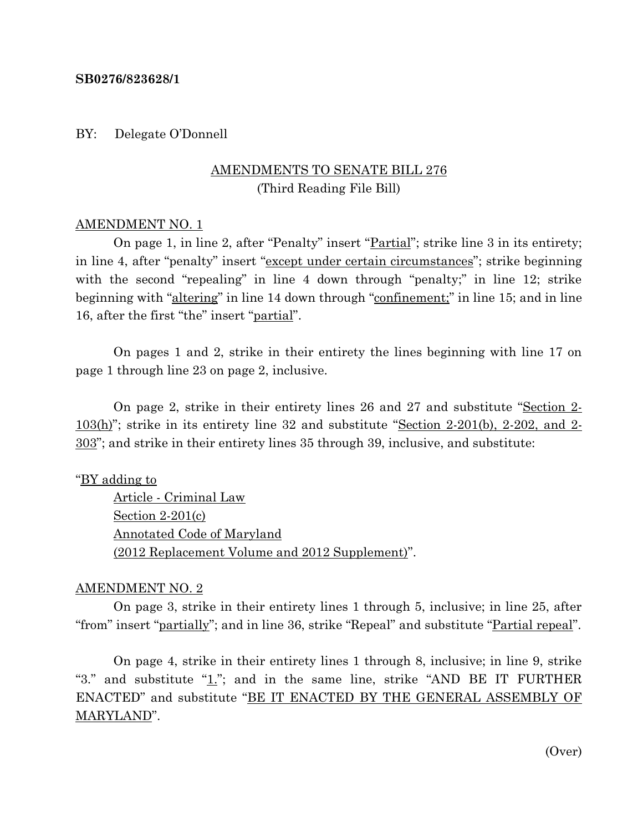#### **SB0276/823628/1**

BY: Delegate O'Donnell

# AMENDMENTS TO SENATE BILL 276 (Third Reading File Bill)

#### AMENDMENT NO. 1

On page 1, in line 2, after "Penalty" insert "<u>Partial</u>"; strike line 3 in its entirety; in line 4, after "penalty" insert "except under certain circumstances"; strike beginning with the second "repealing" in line 4 down through "penalty;" in line 12; strike beginning with "altering" in line 14 down through "confinement;" in line 15; and in line 16, after the first "the" insert "partial".

On pages 1 and 2, strike in their entirety the lines beginning with line 17 on page 1 through line 23 on page 2, inclusive.

On page 2, strike in their entirety lines 26 and 27 and substitute "Section 2- 103(h)"; strike in its entirety line 32 and substitute "Section 2-201(b), 2-202, and 2- 303"; and strike in their entirety lines 35 through 39, inclusive, and substitute:

"BY adding to

Article - Criminal Law Section 2-201(c) Annotated Code of Maryland (2012 Replacement Volume and 2012 Supplement)".

### AMENDMENT NO. 2

On page 3, strike in their entirety lines 1 through 5, inclusive; in line 25, after "from" insert "partially"; and in line 36, strike "Repeal" and substitute "Partial repeal".

On page 4, strike in their entirety lines 1 through 8, inclusive; in line 9, strike "3." and substitute " $1$ ."; and in the same line, strike "AND BE IT FURTHER ENACTED" and substitute "BE IT ENACTED BY THE GENERAL ASSEMBLY OF MARYLAND".

(Over)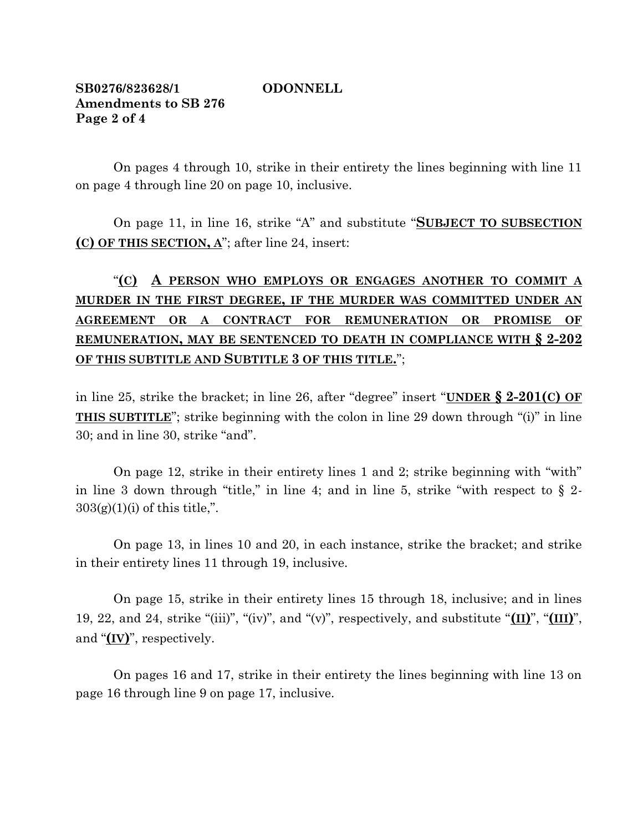## **SB0276/823628/1 ODONNELL Amendments to SB 276 Page 2 of 4**

On pages 4 through 10, strike in their entirety the lines beginning with line 11 on page 4 through line 20 on page 10, inclusive.

On page 11, in line 16, strike "A" and substitute "**SUBJECT TO SUBSECTION (C) OF THIS SECTION, A**"; after line 24, insert:

# "**(C) A PERSON WHO EMPLOYS OR ENGAGES ANOTHER TO COMMIT A MURDER IN THE FIRST DEGREE, IF THE MURDER WAS COMMITTED UNDER AN AGREEMENT OR A CONTRACT FOR REMUNERATION OR PROMISE OF REMUNERATION, MAY BE SENTENCED TO DEATH IN COMPLIANCE WITH § 2-202 OF THIS SUBTITLE AND SUBTITLE 3 OF THIS TITLE.**";

in line 25, strike the bracket; in line 26, after "degree" insert "**UNDER § 2-201(C) OF THIS SUBTITLE**"; strike beginning with the colon in line 29 down through "(i)" in line 30; and in line 30, strike "and".

On page 12, strike in their entirety lines 1 and 2; strike beginning with "with" in line 3 down through "title," in line 4; and in line 5, strike "with respect to  $\S$  2- $303(g)(1)(i)$  of this title,".

On page 13, in lines 10 and 20, in each instance, strike the bracket; and strike in their entirety lines 11 through 19, inclusive.

On page 15, strike in their entirety lines 15 through 18, inclusive; and in lines 19, 22, and 24, strike "(iii)", "(iv)", and "(v)", respectively, and substitute "**(II)**", "**(III)**", and "**(IV)**", respectively.

On pages 16 and 17, strike in their entirety the lines beginning with line 13 on page 16 through line 9 on page 17, inclusive.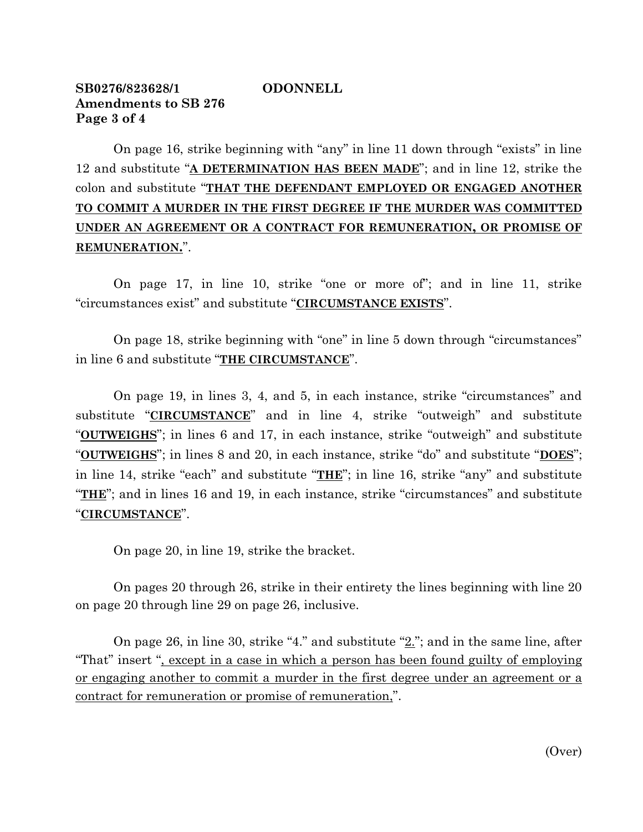## **SB0276/823628/1 ODONNELL Amendments to SB 276 Page 3 of 4**

On page 16, strike beginning with "any" in line 11 down through "exists" in line 12 and substitute "**A DETERMINATION HAS BEEN MADE**"; and in line 12, strike the colon and substitute "**THAT THE DEFENDANT EMPLOYED OR ENGAGED ANOTHER TO COMMIT A MURDER IN THE FIRST DEGREE IF THE MURDER WAS COMMITTED UNDER AN AGREEMENT OR A CONTRACT FOR REMUNERATION, OR PROMISE OF REMUNERATION.**".

On page 17, in line 10, strike "one or more of"; and in line 11, strike "circumstances exist" and substitute "**CIRCUMSTANCE EXISTS**".

On page 18, strike beginning with "one" in line 5 down through "circumstances" in line 6 and substitute "**THE CIRCUMSTANCE**".

On page 19, in lines 3, 4, and 5, in each instance, strike "circumstances" and substitute "**CIRCUMSTANCE**" and in line 4, strike "outweigh" and substitute "**OUTWEIGHS**"; in lines 6 and 17, in each instance, strike "outweigh" and substitute "**OUTWEIGHS**"; in lines 8 and 20, in each instance, strike "do" and substitute "**DOES**"; in line 14, strike "each" and substitute "**THE**"; in line 16, strike "any" and substitute "**THE**"; and in lines 16 and 19, in each instance, strike "circumstances" and substitute "**CIRCUMSTANCE**".

On page 20, in line 19, strike the bracket.

On pages 20 through 26, strike in their entirety the lines beginning with line 20 on page 20 through line 29 on page 26, inclusive.

On page 26, in line 30, strike "4." and substitute "2."; and in the same line, after "That" insert ", except in a case in which a person has been found guilty of employing or engaging another to commit a murder in the first degree under an agreement or a contract for remuneration or promise of remuneration,".